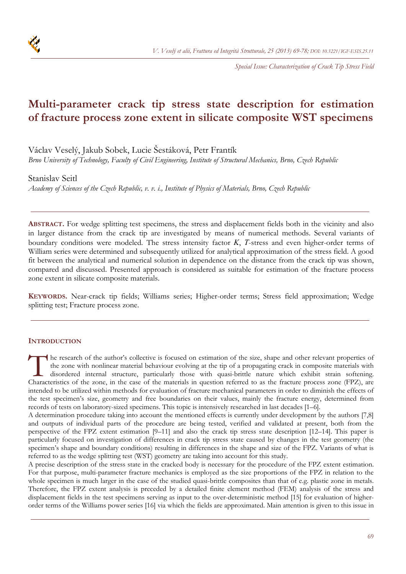

*Special Issue: Characterization of Crack Tip Stress Field*

# **Multi-parameter crack tip stress state description for estimation of fracture process zone extent in silicate composite WST specimens**

Václav Veselý, Jakub Sobek, Lucie Šestáková, Petr Frantík

*Brno University of Technology, Faculty of Civil Engineering, Institute of Structural Mechanics, Brno, Czech Republic* 

# Stanislav Seitl

*Academy of Sciences of the Czech Republic, v. v. i., Institute of Physics of Materials, Brno, Czech Republic* 

**ABSTRACT.** For wedge splitting test specimens, the stress and displacement fields both in the vicinity and also in larger distance from the crack tip are investigated by means of numerical methods. Several variants of boundary conditions were modeled. The stress intensity factor *K*, *T*-stress and even higher-order terms of William series were determined and subsequently utilized for analytical approximation of the stress field. A good fit between the analytical and numerical solution in dependence on the distance from the crack tip was shown, compared and discussed. Presented approach is considered as suitable for estimation of the fracture process zone extent in silicate composite materials.

**KEYWORDS.** Near-crack tip fields; Williams series; Higher-order terms; Stress field approximation; Wedge splitting test; Fracture process zone.

## **INTRODUCTION**

he research of the author's collective is focused on estimation of the size, shape and other relevant properties of the zone with nonlinear material behaviour evolving at the tip of a propagating crack in composite materials with disordered internal structure, particularly those with quasi-brittle nature which exhibit strain softening. The research of the author's collective is focused on estimation of the size, shape and other relevant properties of the zone with nonlinear material behaviour evolving at the tip of a propagating crack in composite materi intended to be utilized within methods for evaluation of fracture mechanical parameters in order to diminish the effects of the test specimen's size, geometry and free boundaries on their values, mainly the fracture energy, determined from records of tests on laboratory-sized specimens. This topic is intensively researched in last decades [1–6].

A determination procedure taking into account the mentioned effects is currently under development by the authors [7,8] and outputs of individual parts of the procedure are being tested, verified and validated at present, both from the perspective of the FPZ extent estimation [9–11] and also the crack tip stress state description [12–14]. This paper is particularly focused on investigation of differences in crack tip stress state caused by changes in the test geometry (the specimen's shape and boundary conditions) resulting in differences in the shape and size of the FPZ. Variants of what is referred to as the wedge splitting test (WST) geometry are taking into account for this study.

A precise description of the stress state in the cracked body is necessary for the procedure of the FPZ extent estimation. For that purpose, multi-parameter fracture mechanics is employed as the size proportions of the FPZ in relation to the whole specimen is much larger in the case of the studied quasi-brittle composites than that of e.g. plastic zone in metals. Therefore, the FPZ extent analysis is preceded by a detailed finite element method (FEM) analysis of the stress and displacement fields in the test specimens serving as input to the over-deterministic method [15] for evaluation of higherorder terms of the Williams power series [16] via which the fields are approximated. Main attention is given to this issue in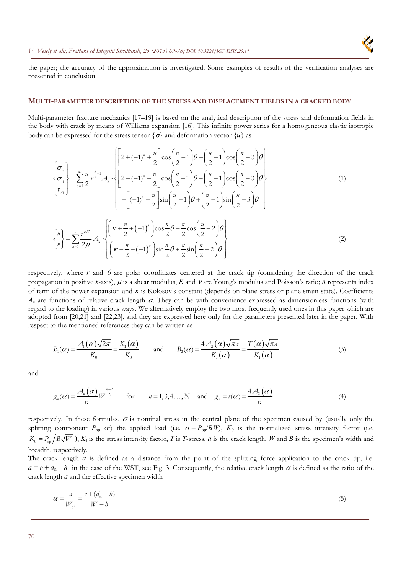

the paper; the accuracy of the approximation is investigated. Some examples of results of the verification analyses are presented in conclusion.

#### **MULTI-PARAMETER DESCRIPTION OF THE STRESS AND DISPLACEMENT FIELDS IN A CRACKED BODY**

Multi-parameter fracture mechanics [17–19] is based on the analytical description of the stress and deformation fields in the body with crack by means of Williams expansion [16]. This infinite power series for a homogeneous elastic isotropic body can be expressed for the stress tensor  $\{\sigma\}$  and deformation vector  $\{u\}$  as

$$
\begin{cases}\n\sigma_x \\
\sigma_y \\
\tau_{xy}\n\end{cases} = \sum_{n=1}^{\infty} \frac{n}{2} r^{\frac{n}{2}-1} A_n \cdot \left\{ \left[ 2 - (-1)^n - \frac{n}{2} \right] \cos\left(\frac{n}{2}-1\right) \theta + \left(\frac{n}{2}-1\right) \cos\left(\frac{n}{2}-3\right) \theta \right\} \\
-\left[ (-1)^n + \frac{n}{2} \right] \sin\left(\frac{n}{2}-1\right) \theta + \left(\frac{n}{2}-1\right) \sin\left(\frac{n}{2}-3\right) \theta \right\} \\
-\left[ (-1)^n + \frac{n}{2} \right] \sin\left(\frac{n}{2}-1\right) \theta + \left(\frac{n}{2}-1\right) \sin\left(\frac{n}{2}-3\right) \theta \right\} \\
\begin{cases}\n\mu \\ \nu \end{cases} = \sum_{n=1}^{\infty} \frac{r^{n/2}}{2\mu} A_n \cdot \left\{ \left( \kappa + \frac{n}{2} + (-1)^n \right) \cos\frac{n}{2} \theta - \frac{n}{2} \cos\left(\frac{n}{2} - 2\right) \theta \right\} \\
\begin{cases}\n\mu \\ \nu \end{cases} = \sum_{n=1}^{\infty} \frac{r^{n/2}}{2\mu} A_n \cdot \left\{ \left( \kappa - \frac{n}{2} - (-1)^n \right) \sin\frac{n}{2} \theta + \frac{n}{2} \sin\left(\frac{n}{2} - 2\right) \theta \right\}\n\tag{2}
$$

respectively, where  $r$  and  $\theta$  are polar coordinates centered at the crack tip (considering the direction of the crack propagation in positive *x*-axis),  $\mu$  is a shear modulus,  $E$  and  $\nu$  are Young's modulus and Poisson's ratio; *n* represents index of term of the power expansion and  $\kappa$  is Kolosov's constant (depends on plane stress or plane strain state). Coefficients  $A_n$  are functions of relative crack length  $\alpha$ . They can be with convenience expressed as dimensionless functions (with regard to the loading) in various ways. We alternatively employ the two most frequently used ones in this paper which are adopted from [20,21] and [22,23], and they are expressed here only for the parameters presented later in the paper. With respect to the mentioned references they can be written as

$$
B_1(\alpha) = \frac{A_1(\alpha)\sqrt{2\pi}}{K_0} = \frac{K_1(\alpha)}{K_0} \quad \text{and} \quad B_2(\alpha) = \frac{4A_2(\alpha)\sqrt{\pi a}}{K_1(\alpha)} = \frac{T(\alpha)\sqrt{\pi a}}{K_1(\alpha)}
$$
(3)

and

$$
g_n(\alpha) = \frac{A_n(\alpha)}{\sigma} W^{\frac{n-2}{2}} \quad \text{for} \quad n = 1, 3, 4..., N \quad \text{and} \quad g_2 = t(\alpha) = \frac{4A_2(\alpha)}{\sigma}
$$
 (4)

respectively. In these formulas,  $\sigma$  is nominal stress in the central plane of the specimen caused by (usually only the splitting component  $P_{\text{sp}}$  of) the applied load (i.e.  $\sigma = P_{\text{sp}}/BW$ ),  $K_0$  is the normalized stress intensity factor (i.e.  $K_0 = P_{\rm ss} / B\sqrt{W}$ ),  $K_I$  is the stress intensity factor, *T* is *T*-stress, *a* is the crack length, *W* and *B* is the specimen's width and breadth, respectively.

The crack length *a* is defined as a distance from the point of the splitting force application to the crack tip, i.e.  $a = c + d_n - h$  in the case of the WST, see Fig. 3. Consequently, the relative crack length  $\alpha$  is defined as the ratio of the crack length *a* and the effective specimen width

$$
\alpha = \frac{a}{W_{\text{ef}}} = \frac{c + (d_{\text{n}} - b)}{W - b} \tag{5}
$$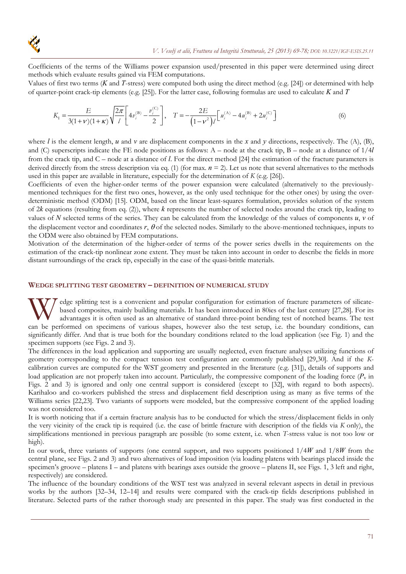

Coefficients of the terms of the Williams power expansion used/presented in this paper were determined using direct methods which evaluate results gained via FEM computations.

Values of first two terms (*K* and *T*-stress) were computed both using the direct method (e.g. [24]) or determined with help of quarter-point crack-tip elements (e.g. [25]). For the latter case, following formulas are used to calculate *K* and *T*

$$
K_{\rm I} = \frac{E}{3(1+\nu)(1+\kappa)} \sqrt{\frac{2\pi}{l}} \left[ 4v_i^{\rm (B)} - \frac{v_i^{\rm (C)}}{2} \right], \quad T = -\frac{2E}{(1-\nu^2)l} \left[ u_i^{\rm (A)} - 4u_i^{\rm (B)} + 2u_i^{\rm (C)} \right] \tag{6}
$$

where *l* is the element length, *u* and *v* are displacement components in the *x* and *y* directions, respectively. The (A), (B), and (C) superscripts indicate the FE node positions as follows: A – node at the crack tip, B – node at a distance of 1/4*l* from the crack tip, and C – node at a distance of *l*. For the direct method [24] the estimation of the fracture parameters is derived directly from the stress description via eq. (1) (for max.  $n = 2$ ). Let us note that several alternatives to the methods used in this paper are available in literature, especially for the determination of *K* (e.g. [26]).

Coefficients of even the higher-order terms of the power expansion were calculated (alternatively to the previouslymentioned techniques for the first two ones, however, as the only used technique for the other ones) by using the overdeterministic method (ODM) [15]. ODM, based on the linear least-squares formulation, provides solution of the system of 2*k* equations (resulting from eq. (2)), where *k* represents the number of selected nodes around the crack tip, leading to values of N selected terms of the series. They can be calculated from the knowledge of the values of components  $u, v$  of the displacement vector and coordinates  $r$ ,  $\theta$  of the selected nodes. Similarly to the above-mentioned techniques, inputs to the ODM were also obtained by FEM computations.

Motivation of the determination of the higher-order of terms of the power series dwells in the requirements on the estimation of the crack-tip nonlinear zone extent. They must be taken into account in order to describe the fields in more distant surroundings of the crack tip, especially in the case of the quasi-brittle materials.

### **WEDGE SPLITTING TEST GEOMETRY – DEFINITION OF NUMERICAL STUDY**

edge splitting test is a convenient and popular configuration for estimation of fracture parameters of silicatebased composites, mainly building materials. It has been introduced in 80ies of the last century [27,28]. For its advantages it is often used as an alternative of standard three-point bending test of notched beams. The test W edge splitting test is a convenient and popular configuration for estimation of fracture parameters of silicate-<br>based composites, mainly building materials. It has been introduced in 80ies of the last century [27,28]. F significantly differ. And that is true both for the boundary conditions related to the load application (see Fig. 1) and the specimen supports (see Figs. 2 and 3).

The differences in the load application and supporting are usually neglected, even fracture analyses utilizing functions of geometry corresponding to the compact tension test configuration are commonly published [29,30]. And if the *K*calibration curves are computed for the WST geometry and presented in the literature (e.g. [31]), details of supports and load application are not properly taken into account. Particularly, the compressive component of the loading force  $(P_v$  in Figs. 2 and 3) is ignored and only one central support is considered (except to [32], with regard to both aspects). Karihaloo and co-workers published the stress and displacement field description using as many as five terms of the Williams series [22,23]. Two variants of supports were modeled, but the compressive component of the applied loading was not considered too.

It is worth noticing that if a certain fracture analysis has to be conducted for which the stress/displacement fields in only the very vicinity of the crack tip is required (i.e. the case of brittle fracture with description of the fields via *K* only), the simplifications mentioned in previous paragraph are possible (to some extent, i.e. when *T*-stress value is not too low or high).

In our work, three variants of supports (one central support, and two supports positioned 1/4*W* and 1/8*W* from the central plane, see Figs. 2 and 3) and two alternatives of load imposition (via loading platens with bearings placed inside the specimen's groove – platens I – and platens with bearings axes outside the groove – platens II, see Figs. 1, 3 left and right, respectively) are considered.

The influence of the boundary conditions of the WST test was analyzed in several relevant aspects in detail in previous works by the authors [32–34, 12–14] and results were compared with the crack-tip fields descriptions published in literature. Selected parts of the rather thorough study are presented in this paper. The study was first conducted in the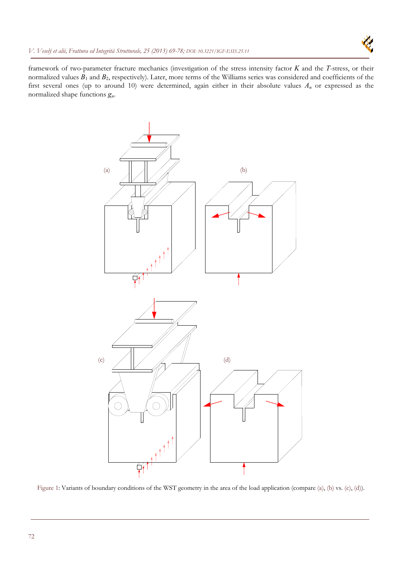

framework of two-parameter fracture mechanics (investigation of the stress intensity factor *K* and the *T*-stress, or their normalized values *B*1 and *B*2, respectively). Later, more terms of the Williams series was considered and coefficients of the first several ones (up to around 10) were determined, again either in their absolute values *An* or expressed as the normalized shape functions *gn*.



Figure 1: Variants of boundary conditions of the WST geometry in the area of the load application (compare (a), (b) vs. (c), (d)).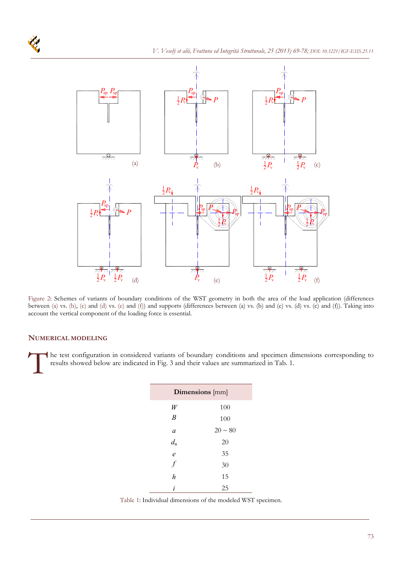

Figure 2: Schemes of variants of boundary conditions of the WST geometry in both the area of the load application (differences between (a) vs. (b), (c) and (d) vs. (e) and (f)) and supports (differences between (a) vs. (b) and (e) vs. (d) vs. (c) and (f)). Taking into account the vertical component of the loading force is essential.

## **NUMERICAL MODELING**

he test configuration in considered variants of boundary conditions and specimen dimensions corresponding to results showed below are indicated in Fig. 3 and their values are summarized in Tab. 1.  $\prod$ <sup>he</sup>

| Dimensions [mm]   |              |
|-------------------|--------------|
| W                 | 100          |
| $\boldsymbol{B}$  | 100          |
| a                 | $20 \sim 80$ |
| $d_{\rm n}$       | 20           |
| $\mathcal{C}_{0}$ | 35           |
| $\overline{f}$    | 30           |
| $\boldsymbol{h}$  | 15           |
| i                 | 25           |

Table 1: Individual dimensions of the modeled WST specimen.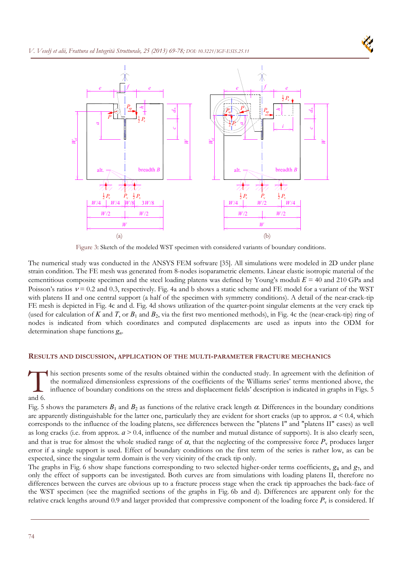

Figure 3: Sketch of the modeled WST specimen with considered variants of boundary conditions.

The numerical study was conducted in the ANSYS FEM software [35]. All simulations were modeled in 2D under plane strain condition. The FE mesh was generated from 8-nodes isoparametric elements. Linear elastic isotropic material of the cementitious composite specimen and the steel loading platens was defined by Young's moduli  $E = 40$  and 210 GPa and Poisson's ratios  $v = 0.2$  and 0.3, respectively. Fig. 4a and b shows a static scheme and FE model for a variant of the WST with platens II and one central support (a half of the specimen with symmetry conditions). A detail of the near-crack-tip FE mesh is depicted in Fig. 4c and d. Fig. 4d shows utilization of the quarter-point singular elements at the very crack tip (used for calculation of  $K$  and  $T$ , or  $B_1$  and  $B_2$ , via the first two mentioned methods), in Fig. 4c the (near-crack-tip) ring of nodes is indicated from which coordinates and computed displacements are used as inputs into the ODM for determination shape functions *gn*.

# **RESULTS AND DISCUSSION, APPLICATION OF THE MULTI-PARAMETER FRACTURE MECHANICS**

his section presents some of the results obtained within the conducted study. In agreement with the definition of the normalized dimensionless expressions of the coefficients of the Williams series' terms mentioned above, the influence of boundary conditions on the stress and displacement fields' description is indicated in graphs in Figs. 5 and 6.  $\prod_{\substack{\text{th }\\ \text{and }6}}$ 

Fig. 5 shows the parameters  $B_1$  and  $B_2$  as functions of the relative crack length  $\alpha$ . Differences in the boundary conditions are apparently distinguishable for the latter one, particularly they are evident for short cracks (up to approx.  $a \le 0.4$ , which corresponds to the influence of the loading platens, see differences between the "platens I" and "platens II" cases) as well as long cracks (i.e. from approx.  $a > 0.4$ , influence of the number and mutual distance of supports). It is also clearly seen, and that is true for almost the whole studied range of  $\alpha$ , that the neglecting of the compressive force  $P_v$  produces larger error if a single support is used. Effect of boundary conditions on the first term of the series is rather low, as can be expected, since the singular term domain is the very vicinity of the crack tip only.

The graphs in Fig. 6 show shape functions corresponding to two selected higher-order terms coefficients, *g*4 and *g*7, and only the effect of supports can be investigated. Both curves are from simulations with loading platens II, therefore no differences between the curves are obvious up to a fracture process stage when the crack tip approaches the back-face of the WST specimen (see the magnified sections of the graphs in Fig. 6b and d). Differences are apparent only for the relative crack lengths around 0.9 and larger provided that compressive component of the loading force  $P_v$  is considered. If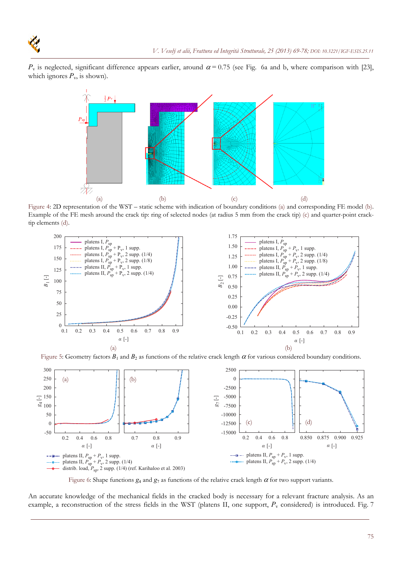$P_v$  is neglected, significant difference appears earlier, around  $\alpha = 0.75$  (see Fig. 6a and b, where comparison with [23], which ignores  $P_v$ , is shown).



Figure 4: 2D representation of the WST – static scheme with indication of boundary conditions (a) and corresponding FE model (b). Example of the FE mesh around the crack tip: ring of selected nodes (at radius 5 mm from the crack tip) (c) and quarter-point cracktip elements (d).



Figure 5: Geometry factors  $B_1$  and  $B_2$  as functions of the relative crack length  $\alpha$  for various considered boundary conditions.



Figure 6: Shape functions  $g_4$  and  $g_7$  as functions of the relative crack length  $\alpha$  for two support variants.

An accurate knowledge of the mechanical fields in the cracked body is necessary for a relevant fracture analysis. As an example, a reconstruction of the stress fields in the WST (platens II, one support,  $P<sub>v</sub>$  considered) is introduced. Fig. 7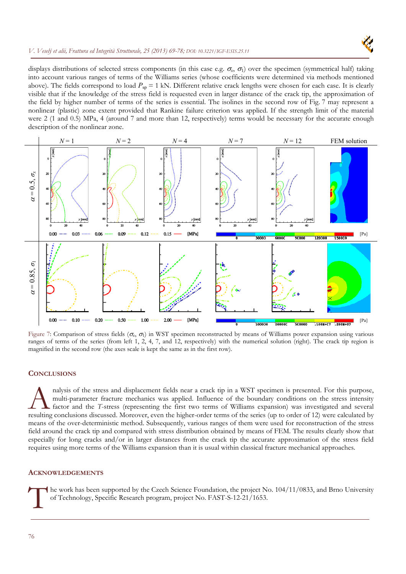## *V. Veselý et alii, Frattura ed Integrità Strutturale, 25 (2013) 69-78[; DOI: 10.3221/IGF-ESIS.25.11](http://dx.medra.org/10.3221/IGF-ESIS.25.11&auth=true)*



displays distributions of selected stress components (in this case e.g.  $\sigma_x$ ,  $\sigma_1$ ) over the specimen (symmetrical half) taking into account various ranges of terms of the Williams series (whose coefficients were determined via methods mentioned above). The fields correspond to load  $P_{sp} = 1$  kN. Different relative crack lengths were chosen for each case. It is clearly visible that if the knowledge of the stress field is requested even in larger distance of the crack tip, the approximation of the field by higher number of terms of the series is essential. The isolines in the second row of Fig. 7 may represent a nonlinear (plastic) zone extent provided that Rankine failure criterion was applied. If the strength limit of the material were 2 (1 and 0.5) MPa, 4 (around 7 and more than 12, respectively) terms would be necessary for the accurate enough description of the nonlinear zone.



Figure 7: Comparison of stress fields  $(\sigma_r, \sigma_l)$  in WST specimen reconstructed by means of Williams power expansion using various ranges of terms of the series (from left 1, 2, 4, 7, and 12, respectively) with the numerical solution (right). The crack tip region is magnified in the second row (the axes scale is kept the same as in the first row).

## **CONCLUSIONS**

nalysis of the stress and displacement fields near a crack tip in a WST specimen is presented. For this purpose, multi-parameter fracture mechanics was applied. Influence of the boundary conditions on the stress intensity factor and the *T*-stress (representing the first two terms of Williams expansion) was investigated and several resulting conclusions discussed. Moreover, even the higher-order terms of the series (up to order of 12) were calculated by the series of the series (up to order of 12) were calculated by the series (representing conclusio means of the over-deterministic method. Subsequently, various ranges of them were used for reconstruction of the stress field around the crack tip and compared with stress distribution obtained by means of FEM. The results clearly show that especially for long cracks and/or in larger distances from the crack tip the accurate approximation of the stress field requires using more terms of the Williams expansion than it is usual within classical fracture mechanical approaches.

## **ACKNOWLEDGEMENTS**

he work has been supported by the Czech Science Foundation, the project No. 104/11/0833, and Brno University of Technology, Specific Research program, project No. FAST-S-12-21/1653. The of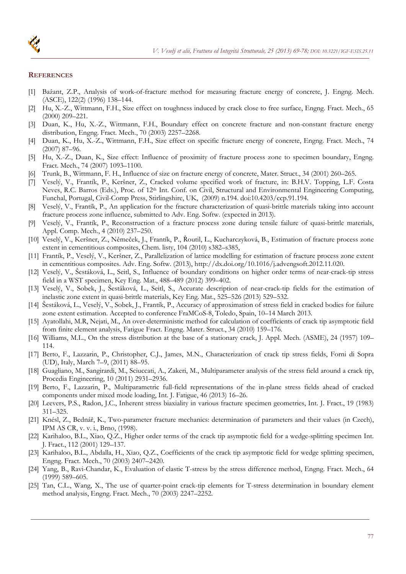

#### **REFERENCES**

- [1] Bažant, Z.P., Analysis of work-of-fracture method for measuring fracture energy of concrete, J. Engng. Mech. (ASCE), 122(2) (1996) 138–144.
- [2] Hu, X.-Z., Wittmann, F.H., Size effect on toughness induced by crack close to free surface, Engng. Fract. Mech., 65 (2000) 209–221.
- [3] Duan, K., Hu, X.-Z., Wittmann, F.H., Boundary effect on concrete fracture and non-constant fracture energy distribution, Engng. Fract. Mech., 70 (2003) 2257–2268.
- [4] Duan, K., Hu, X.-Z., Wittmann, F.H., Size effect on specific fracture energy of concrete, Engng. Fract. Mech., 74 (2007) 87–96.
- [5] Hu, X.-Z., Duan, K., Size effect: Influence of proximity of fracture process zone to specimen boundary, Engng. Fract. Mech., 74 (2007) 1093–1100.
- [6] Trunk, B., Wittmann, F. H., Influence of size on fracture energy of concrete, Mater. Struct., 34 (2001) 260–265.
- [7] Veselý, V., Frantík, P., Keršner, Z., Cracked volume specified work of fracture, in: B.H.V. Topping, L.F. Costa Neves, R.C. Barros (Eds.), Proc. of 12<sup>th</sup> Int. Conf. on Civil, Structural and Environmental Engineering Computing, Funchal, Portugal, Civil-Comp Press, Stirlingshire, UK, (2009) n.194. doi:10.4203/ccp.91.194.
- [8] Veselý, V., Frantík, P., An application for the fracture characterization of quasi-brittle materials taking into account fracture process zone influence, submitted to Adv. Eng. Softw. (expected in 2013).
- [9] Veselý, V., Frantík, P., Reconstruction of a fracture process zone during tensile failure of quasi-brittle materials, Appl. Comp. Mech., 4 (2010) 237–250.
- [10] Veselý, V., Keršner, Z., Němeček, J., Frantík, P., Řoutil, L., Kucharczyková, B., Estimation of fracture process zone extent in cementitious composites, Chem. listy, 104 (2010) s382–s385,
- [11] Frantík, P., Veselý, V., Keršner, Z., Parallelization of lattice modelling for estimation of fracture process zone extent in cementitious composites. Adv. Eng. Softw. (2013), http://dx.doi.org/10.1016/j.advengsoft.2012.11.020.
- [12] Veselý, V., Šestáková, L., Seitl, S., Influence of boundary conditions on higher order terms of near-crack-tip stress field in a WST specimen, Key Eng. Mat., 488–489 (2012) 399–402.
- [13] Veselý, V., Sobek, J., Šestáková, L., Seitl, S., Accurate description of near-crack-tip fields for the estimation of inelastic zone extent in quasi-brittle materials, Key Eng. Mat., 525–526 (2013) 529–532.
- [14] Šestáková, L., Veselý, V., Sobek, J., Frantík, P., Accuracy of approximation of stress field in cracked bodies for failure zone extent estimation. Accepted to conference FraMCoS-8, Toledo, Spain, 10–14 March 2013.
- [15] Ayatollahi, M.R, Nejati, M., An over-deterministic method for calculation of coefficients of crack tip asymptotic field from finite element analysis, Fatigue Fract. Engng. Mater. Struct., 34 (2010) 159–176.
- [16] Williams, M.L., On the stress distribution at the base of a stationary crack, J. Appl. Mech. (ASME), 24 (1957) 109– 114.
- [17] Berto, F., Lazzarin, P., Christopher, C.J., James, M.N., Characterization of crack tip stress fields, Forni di Sopra (UD), Italy, March 7–9, (2011) 88–95.
- [18] Guagliano, M., Sangirardi, M., Sciuccati, A., Zakeri, M., Multiparameter analysis of the stress field around a crack tip, Procedia Engineering, 10 (2011) 2931–2936.
- [19] Berto, F., Lazzarin, P., Multiparametric full-field representations of the in-plane stress fields ahead of cracked components under mixed mode loading, Int. J. Fatigue, 46 (2013) 16–26.
- [20] Leevers, P.S., Radon, J.C., Inherent stress biaxiality in various fracture specimen geometries, Int. J. Fract., 19 (1983) 311–325.
- [21] Knésl, Z., Bednář, K., Two-parameter fracture mechanics: determination of parameters and their values (in Czech), IPM AS CR, v. v. i., Brno, (1998).
- [22] Karihaloo, B.L., Xiao, Q.Z., Higher order terms of the crack tip asymptotic field for a wedge-splitting specimen Int. J. Fract., 112 (2001) 129–137.
- [23] Karihaloo, B.L., Abdalla, H., Xiao, Q.Z., Coefficients of the crack tip asymptotic field for wedge splitting specimen, Engng. Fract. Mech., 70 (2003) 2407–2420.
- [24] Yang, B., Ravi-Chandar, K., Evaluation of elastic T-stress by the stress difference method, Engng. Fract. Mech., 64 (1999) 589–605.
- [25] Tan, C.L., Wang, X., The use of quarter-point crack-tip elements for T-stress determination in boundary element method analysis, Engng. Fract. Mech., 70 (2003) 2247–2252.